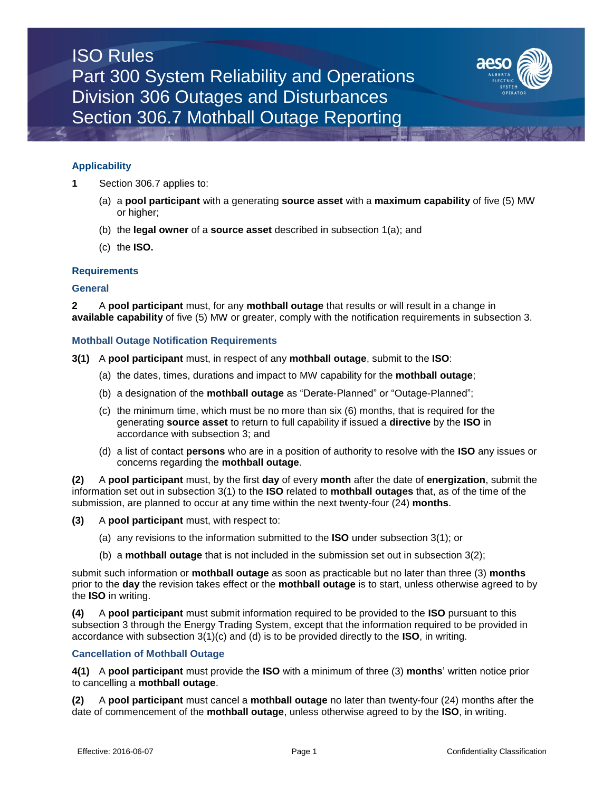# ISO Rules Part 300 System Reliability and Operations Division 306 Outages and Disturbances Section 306.7 Mothball Outage Reporting



# **Applicability**

- **1** Section 306.7 applies to:
	- (a) a **pool participant** with a generating **source asset** with a **maximum capability** of five (5) MW or higher;
	- (b) the **legal owner** of a **source asset** described in subsection 1(a); and
	- (c) the **ISO.**

## **Requirements**

#### **General**

**2** A **pool participant** must, for any **mothball outage** that results or will result in a change in **available capability** of five (5) MW or greater, comply with the notification requirements in subsection 3.

## **Mothball Outage Notification Requirements**

- **3(1)** A **pool participant** must, in respect of any **mothball outage**, submit to the **ISO**:
	- (a) the dates, times, durations and impact to MW capability for the **mothball outage**;
	- (b) a designation of the **mothball outage** as "Derate-Planned" or "Outage-Planned";
	- (c) the minimum time, which must be no more than six (6) months, that is required for the generating **source asset** to return to full capability if issued a **directive** by the **ISO** in accordance with subsection 3; and
	- (d) a list of contact **persons** who are in a position of authority to resolve with the **ISO** any issues or concerns regarding the **mothball outage**.

**(2)** A **pool participant** must, by the first **day** of every **month** after the date of **energization**, submit the information set out in subsection 3(1) to the **ISO** related to **mothball outages** that, as of the time of the submission, are planned to occur at any time within the next twenty-four (24) **months**.

**(3)** A **pool participant** must, with respect to:

- (a) any revisions to the information submitted to the **ISO** under subsection 3(1); or
- (b) a **mothball outage** that is not included in the submission set out in subsection 3(2);

submit such information or **mothball outage** as soon as practicable but no later than three (3) **months** prior to the **day** the revision takes effect or the **mothball outage** is to start, unless otherwise agreed to by the **ISO** in writing.

**(4)** A **pool participant** must submit information required to be provided to the **ISO** pursuant to this subsection 3 through the Energy Trading System, except that the information required to be provided in accordance with subsection 3(1)(c) and (d) is to be provided directly to the **ISO**, in writing.

# **Cancellation of Mothball Outage**

**4(1)** A **pool participant** must provide the **ISO** with a minimum of three (3) **months**' written notice prior to cancelling a **mothball outage**.

**(2)** A **pool participant** must cancel a **mothball outage** no later than twenty-four (24) months after the date of commencement of the **mothball outage**, unless otherwise agreed to by the **ISO**, in writing.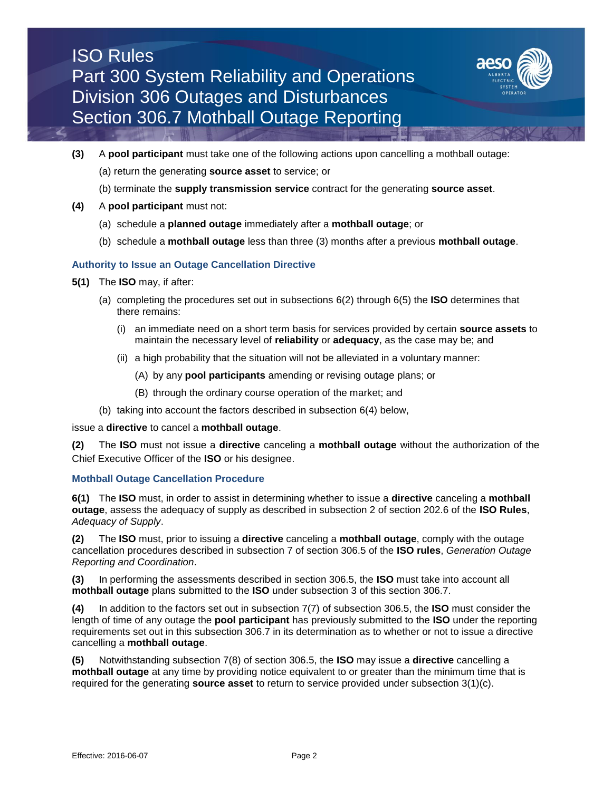# ISO Rules Part 300 System Reliability and Operations Division 306 Outages and Disturbances Section 306.7 Mothball Outage Reporting



- **(3)** A **pool participant** must take one of the following actions upon cancelling a mothball outage:
	- (a) return the generating **source asset** to service; or
	- (b) terminate the **supply transmission service** contract for the generating **source asset**.
- **(4)** A **pool participant** must not:
	- (a) schedule a **planned outage** immediately after a **mothball outage**; or
	- (b) schedule a **mothball outage** less than three (3) months after a previous **mothball outage**.

# **Authority to Issue an Outage Cancellation Directive**

- **5(1)** The **ISO** may, if after:
	- (a) completing the procedures set out in subsections 6(2) through 6(5) the **ISO** determines that there remains:
		- (i) an immediate need on a short term basis for services provided by certain **source assets** to maintain the necessary level of **reliability** or **adequacy**, as the case may be; and
		- (ii) a high probability that the situation will not be alleviated in a voluntary manner:
			- (A) by any **pool participants** amending or revising outage plans; or
			- (B) through the ordinary course operation of the market; and
	- (b) taking into account the factors described in subsection 6(4) below,

issue a **directive** to cancel a **mothball outage**.

**(2)** The **ISO** must not issue a **directive** canceling a **mothball outage** without the authorization of the Chief Executive Officer of the **ISO** or his designee.

## **Mothball Outage Cancellation Procedure**

**6(1)** The **ISO** must, in order to assist in determining whether to issue a **directive** canceling a **mothball outage**, assess the adequacy of supply as described in subsection 2 of section 202.6 of the **ISO Rules**, *Adequacy of Supply*.

**(2)** The **ISO** must, prior to issuing a **directive** canceling a **mothball outage**, comply with the outage cancellation procedures described in subsection 7 of section 306.5 of the **ISO rules**, *Generation Outage Reporting and Coordination*.

**(3)** In performing the assessments described in section 306.5, the **ISO** must take into account all **mothball outage** plans submitted to the **ISO** under subsection 3 of this section 306.7.

**(4)** In addition to the factors set out in subsection 7(7) of subsection 306.5, the **ISO** must consider the length of time of any outage the **pool participant** has previously submitted to the **ISO** under the reporting requirements set out in this subsection 306.7 in its determination as to whether or not to issue a directive cancelling a **mothball outage**.

**(5)** Notwithstanding subsection 7(8) of section 306.5, the **ISO** may issue a **directive** cancelling a **mothball outage** at any time by providing notice equivalent to or greater than the minimum time that is required for the generating **source asset** to return to service provided under subsection 3(1)(c).